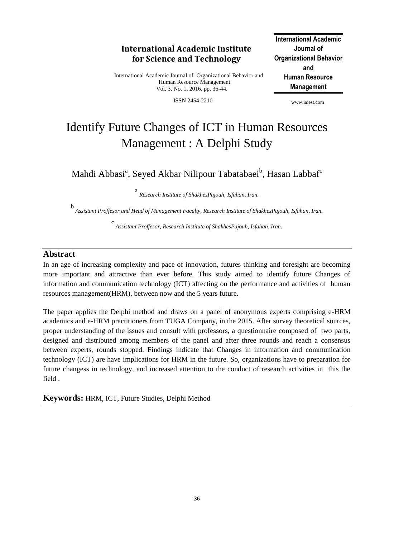## **International Academic Institute for Science and Technology**

International Academic Journal of Organizational Behavior and Human Resource Management Vol. 3, No. 1, 2016, pp. 36-44.

ISSN 2454-2210

**International Academic Journal of Organizational Behavior and Human Resource Management**

www.iaiest.com

# Identify Future Changes of ICT in Human Resources Management : A Delphi Study

Mahdi Abbasi<sup>a</sup>, Seyed Akbar Nilipour Tabatabaei<sup>b</sup>, Hasan Labbaf<sup>c</sup>

a *Research Institute of ShakhesPajouh, Isfahan, Iran.*

b *Assistant Proffesor and Head of Management Faculty, Research Institute of ShakhesPajouh, Isfahan, Iran.*

c *Assistant Proffesor, Research Institute of ShakhesPajouh, Isfahan, Iran.*

#### **Abstract**

In an age of increasing complexity and pace of innovation, futures thinking and foresight are becoming more important and attractive than ever before. This study aimed to identify future Changes of information and communication technology (ICT) affecting on the performance and activities of human resources management(HRM), between now and the 5 years future.

The paper applies the Delphi method and draws on a panel of anonymous experts comprising e-HRM academics and e-HRM practitioners from TUGA Company, in the 2015. After survey theoretical sources, proper understanding of the issues and consult with professors, a questionnaire composed of two parts, designed and distributed among members of the panel and after three rounds and reach a consensus between experts, rounds stopped. Findings indicate that Changes in information and communication technology (ICT) are have implications for HRM in the future. So, organizations have to preparation for future changess in technology, and increased attention to the conduct of research activities in this the field .

**Keywords:** HRM, ICT, Future Studies, Delphi Method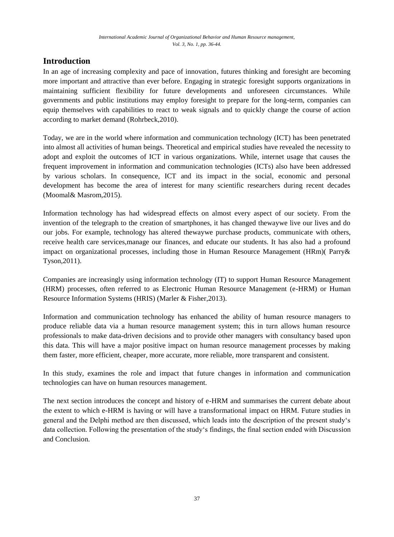## **Introduction**

In an age of increasing complexity and pace of innovation, futures thinking and foresight are becoming more important and attractive than ever before. Engaging in strategic foresight supports organizations in maintaining sufficient flexibility for future developments and unforeseen circumstances. While governments and public institutions may employ foresight to prepare for the long-term, companies can equip themselves with capabilities to react to weak signals and to quickly change the course of action according to market demand (Rohrbeck,2010).

Today, we are in the world where information and communication technology (ICT) has been penetrated into almost all activities of human beings. Theoretical and empirical studies have revealed the necessity to adopt and exploit the outcomes of ICT in various organizations. While, internet usage that causes the frequent improvement in information and communication technologies (ICTs) also have been addressed by various scholars. In consequence, ICT and its impact in the social, economic and personal development has become the area of interest for many scientific researchers during recent decades (Moomal& Masrom,2015).

Information technology has had widespread effects on almost every aspect of our society. From the invention of the telegraph to the creation of smartphones, it has changed thewaywe live our lives and do our jobs. For example, technology has altered thewaywe purchase products, communicate with others, receive health care services,manage our finances, and educate our students. It has also had a profound impact on organizational processes, including those in Human Resource Management (HRm)( Parry& Tyson,2011).

Companies are increasingly using information technology (IT) to support Human Resource Management (HRM) processes, often referred to as Electronic Human Resource Management (e-HRM) or Human Resource Information Systems (HRIS) (Marler & Fisher,2013).

Information and communication technology has enhanced the ability of human resource managers to produce reliable data via a human resource management system; this in turn allows human resource professionals to make data-driven decisions and to provide other managers with consultancy based upon this data. This will have a major positive impact on human resource management processes by making them faster, more efficient, cheaper, more accurate, more reliable, more transparent and consistent.

In this study, examines the role and impact that future changes in information and communication technologies can have on human resources management.

The next section introduces the concept and history of e-HRM and summarises the current debate about the extent to which e-HRM is having or will have a transformational impact on HRM. Future studies in general and the Delphi method are then discussed, which leads into the description of the present study"s data collection. Following the presentation of the study"s findings, the final section ended with Discussion and Conclusion.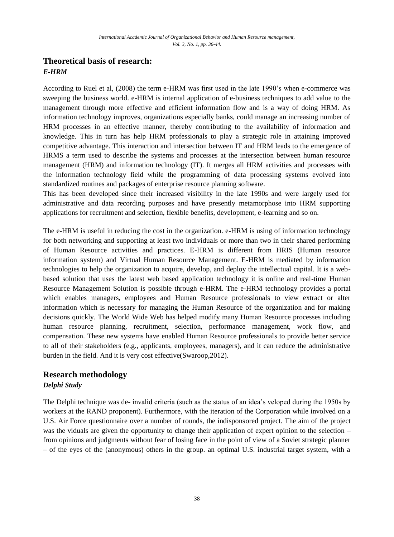## **Theoretical basis of research:** *E-HRM*

According to Ruel et al, (2008) the term e-HRM was first used in the late 1990"s when e-commerce was sweeping the business world. e-HRM is internal application of e-business techniques to add value to the management through more effective and efficient information flow and is a way of doing HRM. As information technology improves, organizations especially banks, could manage an increasing number of HRM processes in an effective manner, thereby contributing to the availability of information and knowledge. This in turn has help HRM professionals to play a strategic role in attaining improved competitive advantage. This interaction and intersection between IT and HRM leads to the emergence of HRMS a term used to describe the systems and processes at the intersection between human resource management (HRM) and information technology (IT). It merges all HRM activities and processes with the information technology field while the programming of data processing systems evolved into standardized routines and packages of enterprise resource planning software.

This has been developed since their increased visibility in the late 1990s and were largely used for administrative and data recording purposes and have presently metamorphose into HRM supporting applications for recruitment and selection, flexible benefits, development, e-learning and so on.

The e-HRM is useful in reducing the cost in the organization. e-HRM is using of information technology for both networking and supporting at least two individuals or more than two in their shared performing of Human Resource activities and practices. E-HRM is different from HRIS (Human resource information system) and Virtual Human Resource Management. E-HRM is mediated by information technologies to help the organization to acquire, develop, and deploy the intellectual capital. It is a webbased solution that uses the latest web based application technology it is online and real-time Human Resource Management Solution is possible through e-HRM. The e-HRM technology provides a portal which enables managers, employees and Human Resource professionals to view extract or alter information which is necessary for managing the Human Resource of the organization and for making decisions quickly. The World Wide Web has helped modify many Human Resource processes including human resource planning, recruitment, selection, performance management, work flow, and compensation. These new systems have enabled Human Resource professionals to provide better service to all of their stakeholders (e.g., applicants, employees, managers), and it can reduce the administrative burden in the field. And it is very cost effective(Swaroop,2012).

# **Research methodology**

### *Delphi Study*

The Delphi technique was de- invalid criteria (such as the status of an idea"s veloped during the 1950s by workers at the RAND proponent). Furthermore, with the iteration of the Corporation while involved on a U.S. Air Force questionnaire over a number of rounds, the indisponsored project. The aim of the project was the viduals are given the opportunity to change their application of expert opinion to the selection – from opinions and judgments without fear of losing face in the point of view of a Soviet strategic planner – of the eyes of the (anonymous) others in the group. an optimal U.S. industrial target system, with a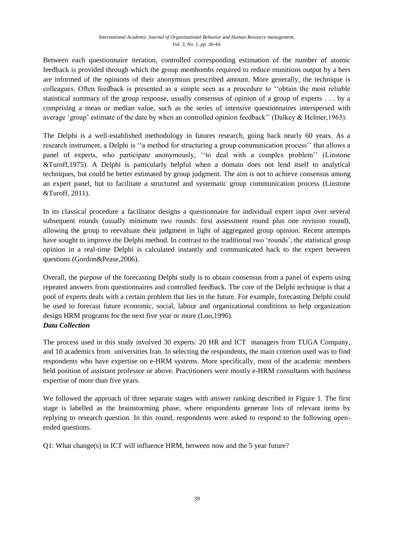#### *International Academic Journal of Organizational Behavior and Human Resource management, Vol. 3, No. 1, pp. 36-44.*

Between each questionnaire iteration, controlled corresponding estimation of the number of atomic feedback is provided through which the group membombs required to reduce munitions output by a bers are informed of the opinions of their anonymous prescribed amount. More generally, the technique is colleagues. Often feedback is presented as a simple seen as a procedure to "obtain the most reliable statistical summary of the group response, usually consensus of opinion of a group of experts . . . by a comprising a mean or median value, such as the series of intensive questionnaires interspersed with average "group" estimate of the date by when an controlled opinion feedback"" (Dalkey & Helmer,1963).

The Delphi is a well-established methodology in futures research, going back nearly 60 years. As a research instrument, a Delphi is "a method for structuring a group communication process" that allows a panel of experts, who participate anonymously, ""to deal with a complex problem"" (Linstone &Turoff,1975). A Delphi is particularly helpful when a domain does not lend itself to analytical techniques, but could be better estimated by group judgment. The aim is not to achieve consensus among an expert panel, but to facilitate a structured and systematic group communication process (Linstone &Turoff, 2011).

In its classical procedure a facilitator designs a questionnaire for individual expert input over several subsequent rounds (usually minimum two rounds: first assessment round plus one revision round), allowing the group to reevaluate their judgment in light of aggregated group opinion. Recent attempts have sought to improve the Delphi method. In contrast to the traditional two "rounds", the statistical group opinion in a real-time Delphi is calculated instantly and communicated back to the expert between questions (Gordon&Pease,2006).

Overall, the purpose of the forecasting Delphi study is to obtain consensus from a panel of experts using repeated answers from questionnaires and controlled feedback. The core of the Delphi technique is that a pool of experts deals with a certain problem that lies in the future. For example, forecasting Delphi could be used to forecast future economic, social, labour and organizational conditions to help organization design HRM programs for the next five year or more (Loo,1996). *Data Collection*

The process used in this study involved 30 experts: 20 HR and ICT managers from TUGA Company, and 10 academics from universities Iran. In selecting the respondents, the main criterion used was to find respondents who have expertise on e-HRM systems. More specifically, most of the academic members held position of assistant professor or above. Practitioners were mostly e-HRM consultants with business expertise of more than five years.

We followed the approach of three separate stages with answer ranking described in Figure 1. The first stage is labelled as the brainstorming phase, where respondents generate lists of relevant items by replying to research question. In this round, respondents were asked to respond to the following openended questions.

Q1: What change(s) in ICT will influence HRM, between now and the 5 year future?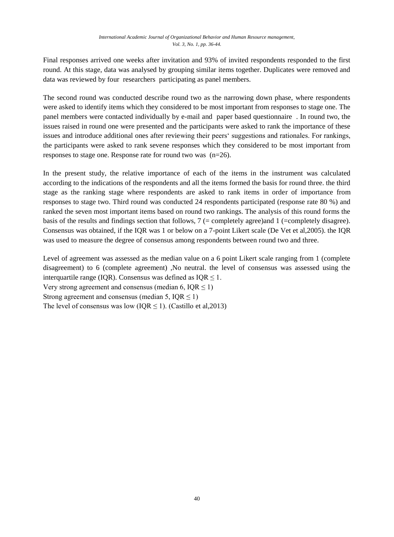Final responses arrived one weeks after invitation and 93% of invited respondents responded to the first round. At this stage, data was analysed by grouping similar items together. Duplicates were removed and data was reviewed by four researchers participating as panel members.

The second round was conducted describe round two as the narrowing down phase, where respondents were asked to identify items which they considered to be most important from responses to stage one. The panel members were contacted individually by e-mail and paper based questionnaire . In round two, the issues raised in round one were presented and the participants were asked to rank the importance of these issues and introduce additional ones after reviewing their peers" suggestions and rationales. For rankings, the participants were asked to rank sevene responses which they considered to be most important from responses to stage one. Response rate for round two was (n=26).

In the present study, the relative importance of each of the items in the instrument was calculated according to the indications of the respondents and all the items formed the basis for round three. the third stage as the ranking stage where respondents are asked to rank items in order of importance from responses to stage two. Third round was conducted 24 respondents participated (response rate 80 %) and ranked the seven most important items based on round two rankings. The analysis of this round forms the basis of the results and findings section that follows,  $7$  (= completely agree)and 1 (= completely disagree). Consensus was obtained, if the IQR was 1 or below on a 7-point Likert scale (De Vet et al,2005). the IQR was used to measure the degree of consensus among respondents between round two and three.

Level of agreement was assessed as the median value on a 6 point Likert scale ranging from 1 (complete disagreement) to 6 (complete agreement) ,No neutral. the level of consensus was assessed using the interquartile range (IQR). Consensus was defined as  $IQR \leq 1$ . Very strong agreement and consensus (median 6,  $IOR \le 1$ ) Strong agreement and consensus (median 5,  $IQR \le 1$ )

The level of consensus was low (IQR  $\leq$  1). (Castillo et al.2013)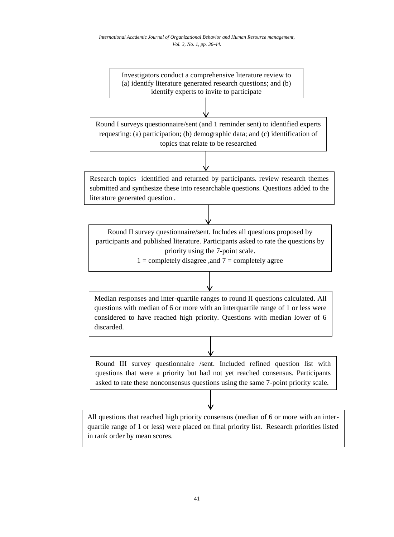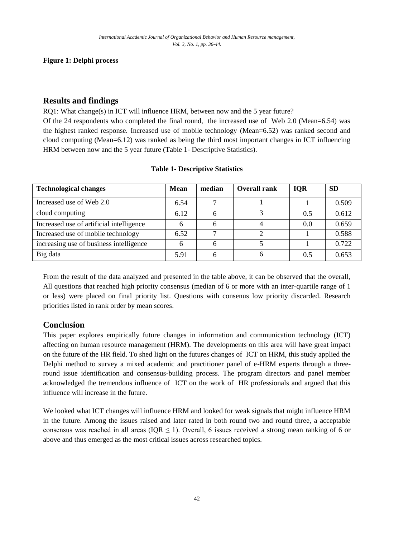### **Figure 1: Delphi process**

### **Results and findings**

RQ1: What change(s) in ICT will influence HRM, between now and the 5 year future?

Of the 24 respondents who completed the final round, the increased use of Web 2.0 (Mean=6.54) was the highest ranked response. Increased use of mobile technology (Mean=6.52) was ranked second and cloud computing (Mean=6.12) was ranked as being the third most important changes in ICT influencing HRM between now and the 5 year future (Table 1- Descriptive Statistics).

| <b>Technological changes</b>             | <b>Mean</b> | median | <b>Overall rank</b> | <b>IOR</b> | <b>SD</b> |
|------------------------------------------|-------------|--------|---------------------|------------|-----------|
| Increased use of Web 2.0                 | 6.54        |        |                     |            | 0.509     |
| cloud computing                          | 6.12        |        |                     | 0.5        | 0.612     |
| Increased use of artificial intelligence |             |        |                     | 0.0        | 0.659     |
| Increased use of mobile technology       | 6.52        |        |                     |            | 0.588     |
| increasing use of business intelligence  |             | 6      |                     |            | 0.722     |
| Big data                                 | 5.91        |        |                     | 0.5        | 0.653     |

#### **Table 1- Descriptive Statistics**

From the result of the data analyzed and presented in the table above, it can be observed that the overall, All questions that reached high priority consensus (median of 6 or more with an inter-quartile range of 1 or less) were placed on final priority list. Questions with consenus low priority discarded. Research priorities listed in rank order by mean scores.

## **Conclusion**

This paper explores empirically future changes in information and communication technology (ICT) affecting on human resource management (HRM). The developments on this area will have great impact on the future of the HR field. To shed light on the futures changes of ICT on HRM, this study applied the Delphi method to survey a mixed academic and practitioner panel of e-HRM experts through a threeround issue identification and consensus-building process. The program directors and panel member acknowledged the tremendous influence of ICT on the work of HR professionals and argued that this influence will increase in the future.

We looked what ICT changes will influence HRM and looked for weak signals that might influence HRM in the future. Among the issues raised and later rated in both round two and round three, a acceptable consensus was reached in all areas ( $IQR \leq 1$ ). Overall, 6 issues received a strong mean ranking of 6 or above and thus emerged as the most critical issues across researched topics.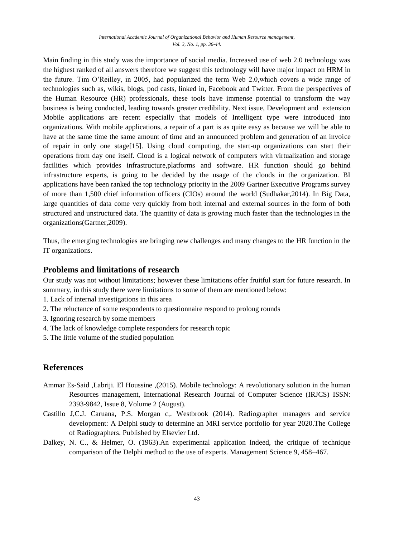Main finding in this study was the importance of social media. Increased use of web 2.0 technology was the highest ranked of all answers therefore we suggest this technology will have major impact on HRM in the future. Tim O"Reilley, in 2005, had popularized the term Web 2.0,which covers a wide range of technologies such as, wikis, blogs, pod casts, linked in, Facebook and Twitter. From the perspectives of the Human Resource (HR) professionals, these tools have immense potential to transform the way business is being conducted, leading towards greater credibility. Next issue, Development and extension Mobile applications are recent especially that models of Intelligent type were introduced into organizations. With mobile applications, a repair of a part is as quite easy as because we will be able to have at the same time the same amount of time and an announced problem and generation of an invoice of repair in only one stage[15]. Using cloud computing, the start-up organizations can start their operations from day one itself. Cloud is a logical network of computers with virtualization and storage facilities which provides infrastructure,platforms and software. HR function should go behind infrastructure experts, is going to be decided by the usage of the clouds in the organization. BI applications have been ranked the top technology priority in the 2009 Gartner Executive Programs survey of more than 1,500 chief information officers (CIOs) around the world (Sudhakar,2014). In Big Data, large quantities of data come very quickly from both internal and external sources in the form of both structured and unstructured data. The quantity of data is growing much faster than the technologies in the organizations(Gartner,2009).

Thus, the emerging technologies are bringing new challenges and many changes to the HR function in the IT organizations.

## **Problems and limitations of research**

Our study was not without limitations; however these limitations offer fruitful start for future research. In summary, in this study there were limitations to some of them are mentioned below:

- 1. Lack of internal investigations in this area
- 2. The reluctance of some respondents to questionnaire respond to prolong rounds
- 3. Ignoring research by some members
- 4. The lack of knowledge complete responders for research topic
- 5. The little volume of the studied population

### **References**

- Ammar Es-Said ,Labriji. El Houssine ,(2015). Mobile technology: A revolutionary solution in the human Resources management, International Research Journal of Computer Science (IRJCS) ISSN: 2393-9842, Issue 8, Volume 2 (August).
- Castillo J,C.J. Caruana, P.S. Morgan c,. Westbrook (2014). Radiographer managers and service development: A Delphi study to determine an MRI service portfolio for year 2020.The College of Radiographers. Published by Elsevier Ltd.
- Dalkey, N. C., & Helmer, O. (1963).An experimental application Indeed, the critique of technique comparison of the Delphi method to the use of experts. Management Science 9, 458–467.